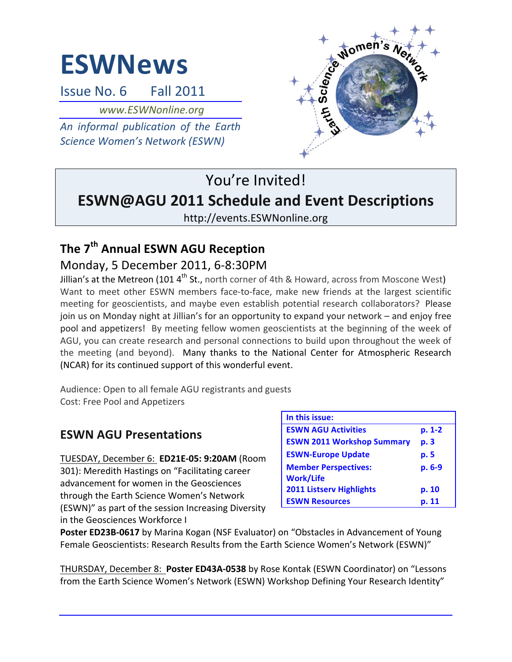# **ESWNews**

Issue No. 6 Fall 2011

*www.ESWNonline.org*

*An informal publication of the Earth*  **Science Women's Network (ESWN)** 



## You're Invited! **ESWN@AGU 2011 Schedule and Event Descriptions**

http://events.ESWNonline.org

## **The 7th Annual ESWN AGU Reception** Monday, 5 December 2011, 6-8:30PM

Jillian's at the Metreon (101  $4^{\text{th}}$  St., north corner of 4th & Howard, across from Moscone West) Want to meet other ESWN members face-to-face, make new friends at the largest scientific meeting for geoscientists, and maybe even establish potential research collaborators? Please join us on Monday night at Jillian's for an opportunity to expand your network – and enjoy free pool and appetizers! By meeting fellow women geoscientists at the beginning of the week of AGU, you can create research and personal connections to build upon throughout the week of the meeting (and beyond). Many thanks to the National Center for Atmospheric Research (NCAR) for its continued support of this wonderful event.

Audience: Open to all female AGU registrants and guests Cost: Free Pool and Appetizers

## **ESWN AGU Presentations**

TUESDAY, December 6: **ED21E-05: 9:20AM** (Room 301): Meredith Hastings on "Facilitating career advancement for women in the Geosciences through the Earth Science Women's Network (ESWN)" as part of the session Increasing Diversity in the Geosciences Workforce I

| In this issue:                                  |          |
|-------------------------------------------------|----------|
| <b>ESWN AGU Activities</b>                      | $p. 1-2$ |
| <b>ESWN 2011 Workshop Summary</b>               | p. 3     |
| <b>ESWN-Europe Update</b>                       | p. 5     |
| <b>Member Perspectives:</b><br><b>Work/Life</b> | p. 6-9   |
| <b>2011 Listserv Highlights</b>                 | p. 10    |
| <b>ESWN Resources</b>                           | p. 11    |

**Poster ED23B-0617** by Marina Kogan (NSF Evaluator) on "Obstacles in Advancement of Young Female Geoscientists: Research Results from the Earth Science Women's Network (ESWN)"

THURSDAY, December 8: Poster ED43A-0538 by Rose Kontak (ESWN Coordinator) on "Lessons from the Earth Science Women's Network (ESWN) Workshop Defining Your Research Identity"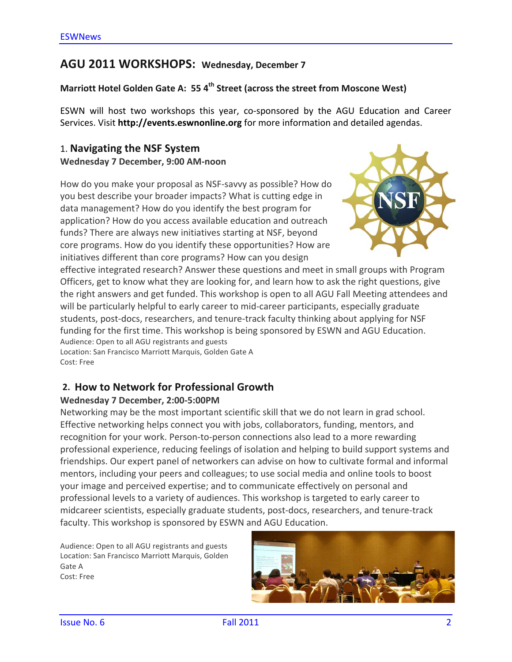## AGU 2011 WORKSHOPS: Wednesday, December 7

### **Marriott Hotel Golden Gate A: 55 4<sup>th</sup> Street (across the street from Moscone West)**

ESWN will host two workshops this year, co-sponsored by the AGU Education and Career Services. Visit **http://events.eswnonline.org** for more information and detailed agendas.

## 1. **Navigating the NSF System Wednesday 7 December, 9:00 AM-noon**

How do you make your proposal as NSF-savvy as possible? How do you best describe your broader impacts? What is cutting edge in data management? How do you identify the best program for application? How do you access available education and outreach funds? There are always new initiatives starting at NSF, beyond core programs. How do you identify these opportunities? How are initiatives different than core programs? How can you design



effective integrated research? Answer these questions and meet in small groups with Program Officers, get to know what they are looking for, and learn how to ask the right questions, give the right answers and get funded. This workshop is open to all AGU Fall Meeting attendees and will be particularly helpful to early career to mid-career participants, especially graduate students, post-docs, researchers, and tenure-track faculty thinking about applying for NSF funding for the first time. This workshop is being sponsored by ESWN and AGU Education. Audience: Open to all AGU registrants and guests

Location: San Francisco Marriott Marquis, Golden Gate A Cost: Free

### **2. How to Network for Professional Growth**

### **Wednesday 7 December, 2:00-5:00PM**

Networking may be the most important scientific skill that we do not learn in grad school. Effective networking helps connect you with jobs, collaborators, funding, mentors, and recognition for your work. Person-to-person connections also lead to a more rewarding professional experience, reducing feelings of isolation and helping to build support systems and friendships. Our expert panel of networkers can advise on how to cultivate formal and informal mentors, including your peers and colleagues; to use social media and online tools to boost your image and perceived expertise; and to communicate effectively on personal and professional levels to a variety of audiences. This workshop is targeted to early career to midcareer scientists, especially graduate students, post-docs, researchers, and tenure-track faculty. This workshop is sponsored by ESWN and AGU Education.

Audience: Open to all AGU registrants and guests Location: San Francisco Marriott Marquis, Golden Gate A Cost: Free

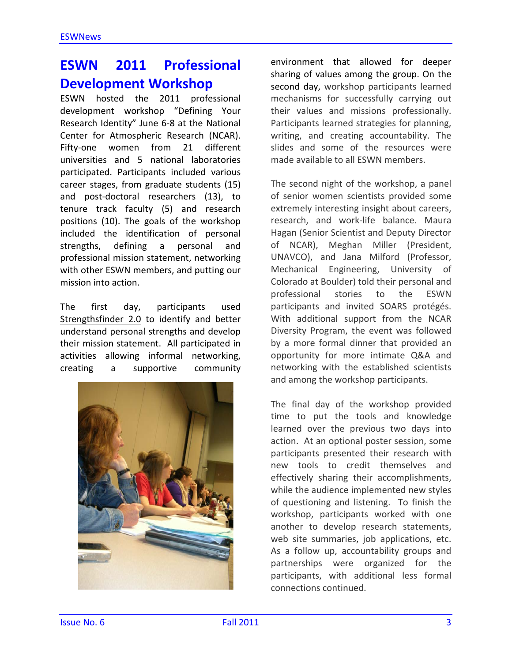## **ESWN 2011 Professional Development Workshop**

ESWN hosted the 2011 professional development workshop "Defining Your Research Identity" June 6-8 at the National Center for Atmospheric Research (NCAR). Fifty-one women from 21 different universities and 5 national laboratories participated. Participants included various career stages, from graduate students (15) and post-doctoral researchers (13), to tenure track faculty (5) and research positions (10). The goals of the workshop included the identification of personal strengths, defining a personal and professional mission statement, networking with other ESWN members, and putting our mission into action.

The first day, participants used Strengthsfinder 2.0 to identify and better understand personal strengths and develop their mission statement. All participated in activities allowing informal networking, creating a supportive community 



environment that allowed for deeper sharing of values among the group. On the second day, workshop participants learned mechanisms for successfully carrying out their values and missions professionally. Participants learned strategies for planning, writing, and creating accountability. The slides and some of the resources were made available to all FSWN members.

The second night of the workshop, a panel of senior women scientists provided some extremely interesting insight about careers, research, and work-life balance. Maura Hagan (Senior Scientist and Deputy Director of NCAR), Meghan Miller (President, UNAVCO), and Jana Milford (Professor, Mechanical Engineering, University of Colorado at Boulder) told their personal and professional stories to the ESWN participants and invited SOARS protégés. With additional support from the NCAR Diversity Program, the event was followed by a more formal dinner that provided an opportunity for more intimate Q&A and networking with the established scientists and among the workshop participants.

The final day of the workshop provided time to put the tools and knowledge learned over the previous two days into action. At an optional poster session, some participants presented their research with new tools to credit themselves and effectively sharing their accomplishments, while the audience implemented new styles of questioning and listening. To finish the workshop, participants worked with one another to develop research statements, web site summaries, job applications, etc. As a follow up, accountability groups and partnerships were organized for the participants, with additional less formal connections continued.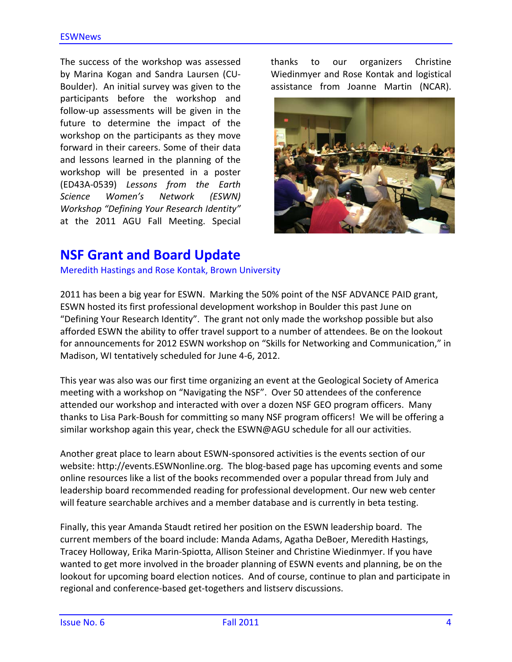The success of the workshop was assessed by Marina Kogan and Sandra Laursen (CU-Boulder). An initial survey was given to the participants before the workshop and follow-up assessments will be given in the future to determine the impact of the workshop on the participants as they move forward in their careers. Some of their data and lessons learned in the planning of the workshop will be presented in a poster (ED43A-0539) *Lessons from the Earth Science Women's Network (ESWN) Workshop "Defining Your Research Identity"* at the 2011 AGU Fall Meeting. Special thanks to our organizers Christine Wiedinmyer and Rose Kontak and logistical assistance from Joanne Martin (NCAR).



## **NSF Grant and Board Update**

Meredith Hastings and Rose Kontak, Brown University

2011 has been a big year for ESWN. Marking the 50% point of the NSF ADVANCE PAID grant, ESWN hosted its first professional development workshop in Boulder this past June on "Defining Your Research Identity". The grant not only made the workshop possible but also afforded ESWN the ability to offer travel support to a number of attendees. Be on the lookout for announcements for 2012 ESWN workshop on "Skills for Networking and Communication," in Madison, WI tentatively scheduled for June 4-6, 2012.

This year was also was our first time organizing an event at the Geological Society of America meeting with a workshop on "Navigating the NSF". Over 50 attendees of the conference attended our workshop and interacted with over a dozen NSF GEO program officers. Many thanks to Lisa Park-Boush for committing so many NSF program officers! We will be offering a similar workshop again this year, check the  $ESWN@AGU$  schedule for all our activities.

Another great place to learn about ESWN-sponsored activities is the events section of our website: http://events.ESWNonline.org. The blog-based page has upcoming events and some online resources like a list of the books recommended over a popular thread from July and leadership board recommended reading for professional development. Our new web center will feature searchable archives and a member database and is currently in beta testing.

Finally, this year Amanda Staudt retired her position on the ESWN leadership board. The current members of the board include: Manda Adams, Agatha DeBoer, Meredith Hastings, Tracey Holloway, Erika Marin-Spiotta, Allison Steiner and Christine Wiedinmyer. If you have wanted to get more involved in the broader planning of ESWN events and planning, be on the lookout for upcoming board election notices. And of course, continue to plan and participate in regional and conference-based get-togethers and listserv discussions.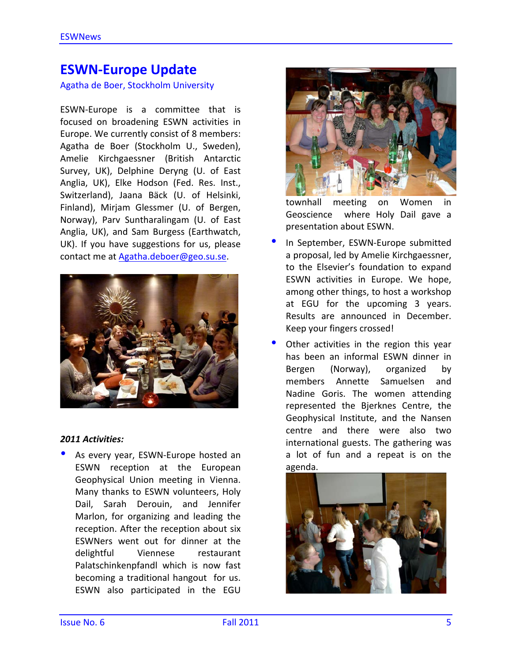## **ESWN-Europe Update**

Agatha de Boer, Stockholm University

ESWN-Europe is a committee that is focused on broadening ESWN activities in Europe. We currently consist of 8 members: Agatha de Boer (Stockholm U., Sweden), Amelie Kirchgaessner (British Antarctic Survey, UK), Delphine Deryng (U. of East Anglia, UK), Elke Hodson (Fed. Res. Inst., Switzerland), Jaana Bäck (U. of Helsinki, Finland), Mirjam Glessmer (U. of Bergen, Norway), Parv Suntharalingam (U. of East Anglia, UK), and Sam Burgess (Earthwatch, UK). If you have suggestions for us, please contact me at Agatha.deboer@geo.su.se.



### *2011 Activities:*

As every year, ESWN-Europe hosted an ESWN reception at the European Geophysical Union meeting in Vienna. Many thanks to ESWN volunteers, Holy Dail, Sarah Derouin, and Jennifer Marlon, for organizing and leading the reception. After the reception about six ESWNers went out for dinner at the delightful Viennese restaurant Palatschinkenpfandl which is now fast becoming a traditional hangout for us. ESWN also participated in the EGU 



townhall meeting on Women in Geoscience where Holy Dail gave a presentation about ESWN.

- In September, ESWN-Europe submitted a proposal, led by Amelie Kirchgaessner, to the Elsevier's foundation to expand ESWN activities in Europe. We hope, among other things, to host a workshop at EGU for the upcoming 3 years. Results are announced in December. Keep your fingers crossed!
- Other activities in the region this year has been an informal ESWN dinner in Bergen (Norway), organized by members Annette Samuelsen and Nadine Goris. The women attending represented the Bjerknes Centre, the Geophysical Institute, and the Nansen centre and there were also two international guests. The gathering was a lot of fun and a repeat is on the agenda.

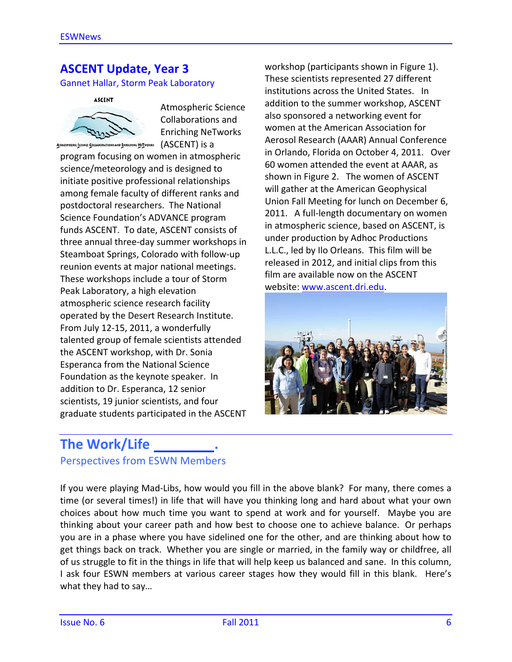## **ASCENT Update, Year 3**

Gannet Hallar, Storm Peak Laboratory



Atmospheric Science Collaborations and Enriching NeTworks

 $A$ TMOSPHERIC SCIENCE COLLABORATIONS AND ENRICHING NETWORKS  $(ASCENT)$  is a

program focusing on women in atmospheric science/meteorology and is designed to initiate positive professional relationships among female faculty of different ranks and postdoctoral researchers. The National Science Foundation's ADVANCE program funds ASCENT. To date, ASCENT consists of three annual three-day summer workshops in Steamboat Springs, Colorado with follow-up reunion events at major national meetings. These workshops include a tour of Storm Peak Laboratory, a high elevation atmospheric science research facility operated by the Desert Research Institute. From July 12-15, 2011, a wonderfully talented group of female scientists attended the ASCENT workshop, with Dr. Sonia Esperanca from the National Science Foundation as the keynote speaker. In addition to Dr. Esperanca, 12 senior scientists, 19 junior scientists, and four graduate students participated in the ASCENT workshop (participants shown in Figure 1). These scientists represented 27 different institutions across the United States. In addition to the summer workshop. ASCENT also sponsored a networking event for women at the American Association for Aerosol Research (AAAR) Annual Conference in Orlando, Florida on October 4, 2011. Over 60 women attended the event at AAAR, as shown in Figure 2. The women of ASCENT will gather at the American Geophysical Union Fall Meeting for lunch on December 6, 2011. A full-length documentary on women in atmospheric science, based on ASCENT, is under production by Adhoc Productions L.L.C., led by Ilo Orleans. This film will be released in 2012, and initial clips from this film are available now on the ASCENT website: www.ascent.dri.edu.



## **The Work/Life** Perspectives from ESWN Members

If you were playing Mad-Libs, how would you fill in the above blank? For many, there comes a time (or several times!) in life that will have you thinking long and hard about what your own choices about how much time you want to spend at work and for yourself. Maybe you are thinking about your career path and how best to choose one to achieve balance. Or perhaps you are in a phase where you have sidelined one for the other, and are thinking about how to get things back on track. Whether you are single or married, in the family way or childfree, all of us struggle to fit in the things in life that will help keep us balanced and sane. In this column, I ask four ESWN members at various career stages how they would fill in this blank. Here's what they had to say...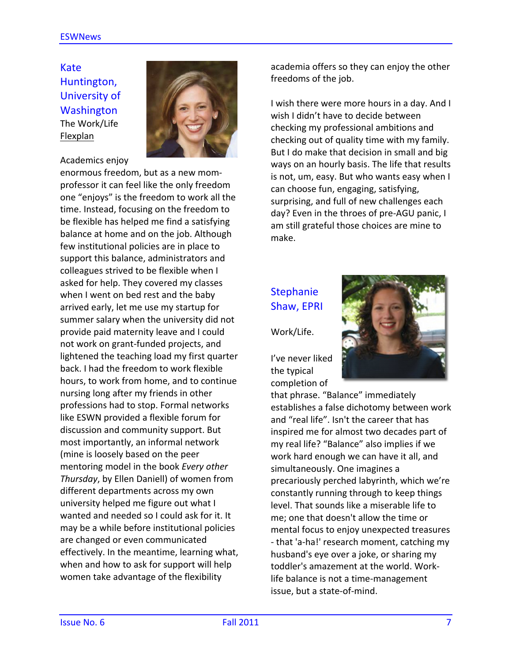Kate Huntington, University of **Washington** The Work/Life Flexplan



Academics enjoy

enormous freedom, but as a new momprofessor it can feel like the only freedom one "enjoys" is the freedom to work all the time. Instead, focusing on the freedom to be flexible has helped me find a satisfying balance at home and on the job. Although few institutional policies are in place to support this balance, administrators and colleagues strived to be flexible when I asked for help. They covered my classes when I went on bed rest and the baby arrived early, let me use my startup for summer salary when the university did not provide paid maternity leave and I could not work on grant-funded projects, and lightened the teaching load my first quarter back. I had the freedom to work flexible hours, to work from home, and to continue nursing long after my friends in other professions had to stop. Formal networks like ESWN provided a flexible forum for discussion and community support. But most importantly, an informal network (mine is loosely based on the peer mentoring model in the book *Every* other *Thursday*, by Ellen Daniell) of women from different departments across my own university helped me figure out what I wanted and needed so I could ask for it. It may be a while before institutional policies are changed or even communicated effectively. In the meantime, learning what, when and how to ask for support will help women take advantage of the flexibility

academia offers so they can enjoy the other freedoms of the job.

I wish there were more hours in a day. And I wish I didn't have to decide between checking my professional ambitions and checking out of quality time with my family. But I do make that decision in small and big ways on an hourly basis. The life that results is not, um, easy. But who wants easy when I can choose fun, engaging, satisfying, surprising, and full of new challenges each day? Even in the throes of pre-AGU panic, I am still grateful those choices are mine to make. 

## Stephanie Shaw, EPRI

Work/Life.

I've never liked the typical completion of 



that phrase. "Balance" immediately establishes a false dichotomy between work and "real life". Isn't the career that has inspired me for almost two decades part of my real life? "Balance" also implies if we work hard enough we can have it all, and simultaneously. One imagines a precariously perched labyrinth, which we're constantly running through to keep things level. That sounds like a miserable life to me; one that doesn't allow the time or mental focus to enjoy unexpected treasures - that 'a-ha!' research moment, catching my husband's eye over a joke, or sharing my toddler's amazement at the world. Worklife balance is not a time-management issue, but a state-of-mind.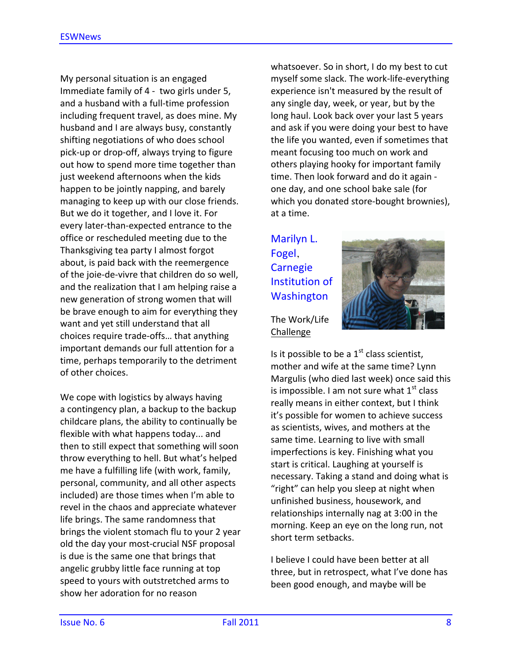My personal situation is an engaged Immediate family of 4 - two girls under 5, and a husband with a full-time profession including frequent travel, as does mine. My husband and I are always busy, constantly shifting negotiations of who does school pick-up or drop-off, always trying to figure out how to spend more time together than just weekend afternoons when the kids happen to be jointly napping, and barely managing to keep up with our close friends. But we do it together, and I love it. For every later-than-expected entrance to the office or rescheduled meeting due to the Thanksgiving tea party I almost forgot about, is paid back with the reemergence of the joie-de-vivre that children do so well, and the realization that I am helping raise a new generation of strong women that will be brave enough to aim for everything they want and yet still understand that all choices require trade-offs... that anything important demands our full attention for a time, perhaps temporarily to the detriment of other choices.

We cope with logistics by always having a contingency plan, a backup to the backup childcare plans, the ability to continually be flexible with what happens today... and then to still expect that something will soon throw everything to hell. But what's helped me have a fulfilling life (with work, family, personal, community, and all other aspects included) are those times when I'm able to revel in the chaos and appreciate whatever life brings. The same randomness that brings the violent stomach flu to your 2 year old the day your most-crucial NSF proposal is due is the same one that brings that angelic grubby little face running at top speed to yours with outstretched arms to show her adoration for no reason

whatsoever. So in short, I do my best to cut myself some slack. The work-life-everything experience isn't measured by the result of any single day, week, or year, but by the long haul. Look back over your last 5 years and ask if you were doing your best to have the life you wanted, even if sometimes that meant focusing too much on work and others playing hooky for important family time. Then look forward and do it again one day, and one school bake sale (for which you donated store-bought brownies), at a time.

Marilyn L. Fogel, **Carnegie** Institution of Washington



The Work/Life Challenge

Is it possible to be a  $1<sup>st</sup>$  class scientist, mother and wife at the same time? Lynn Margulis (who died last week) once said this is impossible. I am not sure what  $1<sup>st</sup>$  class really means in either context, but I think it's possible for women to achieve success as scientists, wives, and mothers at the same time. Learning to live with small imperfections is key. Finishing what you start is critical. Laughing at yourself is necessary. Taking a stand and doing what is "right" can help you sleep at night when unfinished business, housework, and relationships internally nag at 3:00 in the morning. Keep an eye on the long run, not short term setbacks.

I believe I could have been better at all three, but in retrospect, what I've done has been good enough, and maybe will be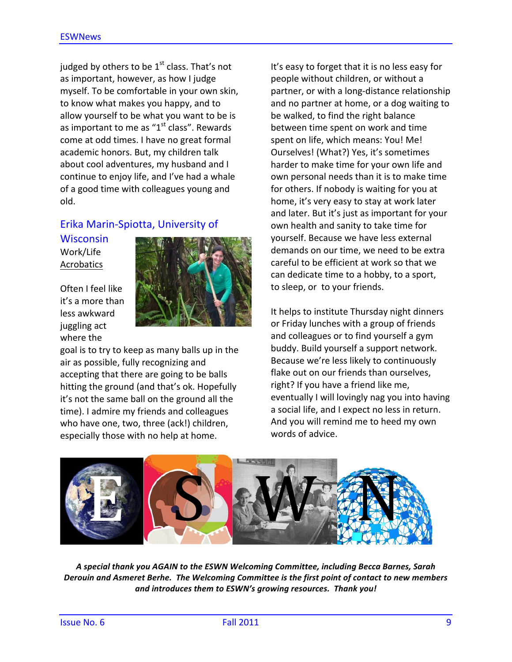judged by others to be  $1<sup>st</sup>$  class. That's not as important, however, as how I judge myself. To be comfortable in your own skin, to know what makes you happy, and to allow yourself to be what you want to be is as important to me as " $1<sup>st</sup>$  class". Rewards come at odd times. I have no great formal academic honors. But, my children talk about cool adventures, my husband and I continue to enjoy life, and I've had a whale of a good time with colleagues young and old. 

## Erika Marin-Spiotta, University of

**Wisconsin** Work/Life Acrobatics

Often I feel like it's a more than less awkward juggling act where the



goal is to try to keep as many balls up in the air as possible, fully recognizing and accepting that there are going to be balls hitting the ground (and that's ok. Hopefully it's not the same ball on the ground all the time). I admire my friends and colleagues who have one, two, three (ack!) children, especially those with no help at home.

It's easy to forget that it is no less easy for people without children, or without a partner, or with a long-distance relationship and no partner at home, or a dog waiting to be walked, to find the right balance between time spent on work and time spent on life, which means: You! Me! Ourselves! (What?) Yes, it's sometimes harder to make time for your own life and own personal needs than it is to make time for others. If nobody is waiting for you at home, it's very easy to stay at work later and later. But it's just as important for your own health and sanity to take time for yourself. Because we have less external demands on our time, we need to be extra careful to be efficient at work so that we can dedicate time to a hobby, to a sport, to sleep, or to your friends.

It helps to institute Thursday night dinners or Friday lunches with a group of friends and colleagues or to find yourself a gym buddy. Build yourself a support network. Because we're less likely to continuously flake out on our friends than ourselves, right? If you have a friend like me, eventually I will lovingly nag you into having a social life, and I expect no less in return. And you will remind me to heed my own words of advice.



A special thank you AGAIN to the ESWN Welcoming Committee, including Becca Barnes, Sarah Derouin and Asmeret Berhe. The Welcoming Committee is the first point of contact to new members and introduces them to ESWN's growing resources. Thank you!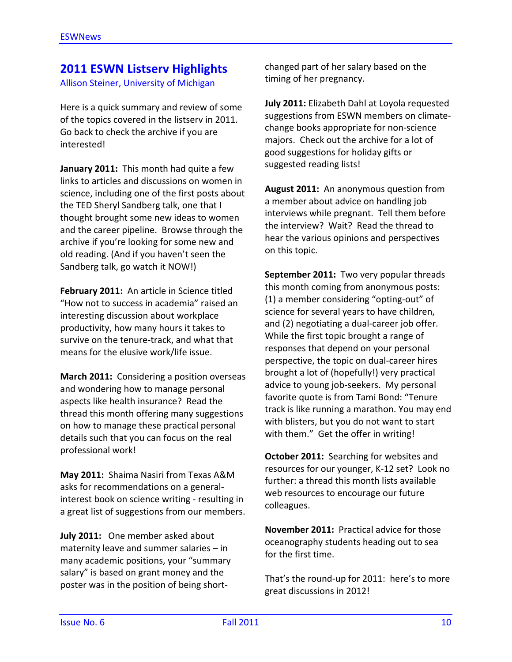## **2011 ESWN Listserv Highlights**

Allison Steiner, University of Michigan

Here is a quick summary and review of some of the topics covered in the listserv in 2011. Go back to check the archive if you are interested!

**January 2011:** This month had quite a few links to articles and discussions on women in science, including one of the first posts about the TED Sheryl Sandberg talk, one that I thought brought some new ideas to women and the career pipeline. Browse through the archive if you're looking for some new and old reading. (And if you haven't seen the Sandberg talk, go watch it NOW!)

**February 2011:** An article in Science titled "How not to success in academia" raised an interesting discussion about workplace productivity, how many hours it takes to survive on the tenure-track, and what that means for the elusive work/life issue.

**March 2011:** Considering a position overseas and wondering how to manage personal aspects like health insurance? Read the thread this month offering many suggestions on how to manage these practical personal details such that you can focus on the real professional work!

**May 2011:** Shaima Nasiri from Texas A&M asks for recommendations on a generalinterest book on science writing - resulting in a great list of suggestions from our members.

**July 2011:** One member asked about maternity leave and summer salaries  $-$  in many academic positions, your "summary salary" is based on grant money and the poster was in the position of being shortchanged part of her salary based on the timing of her pregnancy.

**July 2011:** Elizabeth Dahl at Loyola requested suggestions from ESWN members on climatechange books appropriate for non-science majors. Check out the archive for a lot of good suggestions for holiday gifts or suggested reading lists!

**August 2011:** An anonymous question from a member about advice on handling job interviews while pregnant. Tell them before the interview? Wait? Read the thread to hear the various opinions and perspectives on this topic.

**September 2011:** Two very popular threads this month coming from anonymous posts: (1) a member considering "opting-out" of science for several years to have children, and (2) negotiating a dual-career job offer. While the first topic brought a range of responses that depend on your personal perspective, the topic on dual-career hires brought a lot of (hopefully!) very practical advice to young job-seekers. My personal favorite quote is from Tami Bond: "Tenure track is like running a marathon. You may end with blisters, but you do not want to start with them." Get the offer in writing!

**October 2011:** Searching for websites and resources for our younger, K-12 set? Look no further: a thread this month lists available web resources to encourage our future colleagues.

**November 2011:** Practical advice for those oceanography students heading out to sea for the first time.

That's the round-up for 2011: here's to more great discussions in 2012!